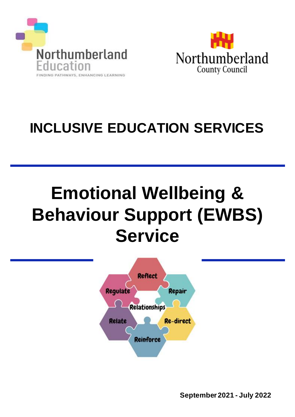



# **INCLUSIVE EDUCATION SERVICES**

# **Emotional Wellbeing & Behaviour Support (EWBS) Service**



**September 2021 - July 2022**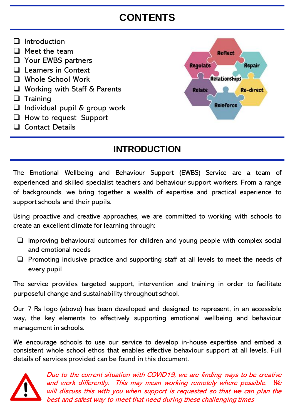# **CONTENTS**

- ❑ Introduction
- ❑ Meet the team
- ❑ Your EWBS partners
- ❑ Learners in Context
- ❑ Whole School Work
- ❑ Working with Staff & Parents
- ❑ Training
- ❑ Individual pupil & group work
- ❑ How to request Support
- ❑ Contact Details



# **INTRODUCTION**

The Emotional Wellbeing and Behaviour Support (EWBS) Service are a team of experienced and skilled specialist teachers and behaviour support workers. From a range of backgrounds, we bring together a wealth of expertise and practical experience to support schools and their pupils.

Using proactive and creative approaches, we are committed to working with schools to create an excellent climate for learning through:

- □ Improving behavioural outcomes for children and young people with complex social and emotional needs
- $\Box$  Promoting inclusive practice and supporting staff at all levels to meet the needs of every pupil

The service provides targeted support, intervention and training in order to facilitate purposeful change and sustainability throughout school.

Our 7 Rs logo (above) has been developed and designed to represent, in an accessible way, the key elements to effectively supporting emotional wellbeing and behaviour management in schools.

We encourage schools to use our service to develop in-house expertise and embed a consistent whole school ethos that enables effective behaviour support at all levels. Full details of services provided can be found in this document.



Due to the current situation with COVID19, we are finding ways to be creative and work differently. This may mean working remotely where possible. will discuss this with you when support is requested so that we can plan the best and safest way to meet that need during these challenging times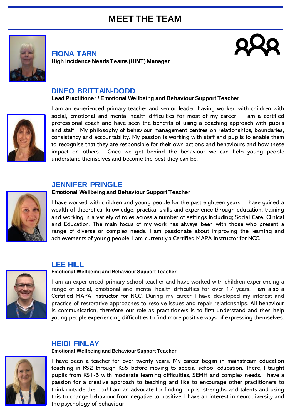# **MEET THE TEAM**



**FIONA TARN High Incidence Needs Teams (HINT) Manager**



#### **DINEO BRITTAIN-DODD**

#### **Lead Practitioner / Emotional Wellbeing and Behaviour Support Teacher**



I am an experienced primary teacher and senior leader, having worked with children with social, emotional and mental health difficulties for most of my career. I am a certified professional coach and have seen the benefits of using a coaching approach with pupils and staff. My philosophy of behaviour management centres on relationships, boundaries, consistency and accountability. My passion is working with staff and pupils to enable them to recognise that they are responsible for their own actions and behaviours and how these impact on others. Once we get behind the behaviour we can help young people understand themselves and become the best they can be.

#### **JENNIFER PRINGLE**



#### **Emotional Wellbeing and Behaviour Support Teacher**

I have worked with children and young people for the past eighteen years. I have gained a wealth of theoretical knowledge, practical skills and experience through education, training and working in a variety of roles across a number of settings including; Social Care, Clinical and Education. The main focus of my work has always been with those who present a range of diverse or complex needs. I am passionate about improving the learning and achievements of young people. I am currently a Certified MAPA Instructor for NCC.

#### **LEE HILL**

#### **Emotional Wellbeing and Behaviour Support Teacher**

I am an experienced primary school teacher and have worked with children experiencing a range of social, emotional and mental health difficulties for over 17 years. I am also a Certified MAPA Instructor for NCC. During my career I have developed my interest and practice of restorative approaches to resolve issues and repair relationships. All behaviour is communication, therefore our role as practitioners is to first understand and then help young people experiencing difficulties to find more positive ways of expressing themselves.

#### **HEIDI FINLAY**

**Emotional Wellbeing and Behaviour Support Teacher**



I have been a teacher for over twenty years. My career began in mainstream education teaching in KS2 through KS5 before moving to special school education. There, I taught pupils from KS1-5 with moderate learning difficulties, SEMH and complex needs. I have a passion for a creative approach to teaching and like to encourage other practitioners to think outside the box! I am an advocate for finding pupils' strengths and talents and using this to change behaviour from negative to positive. I have an interest in neurodiversity and the psychology of behaviour.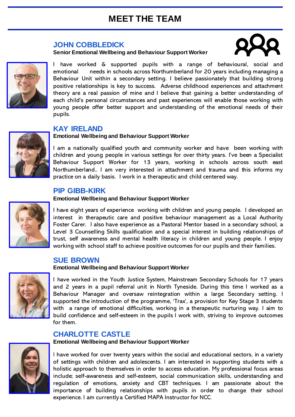# **MEET THE TEAM**

#### **JOHN COBBLEDICK**

#### **Senior Emotional Wellbeing and Behaviour Support Worker**





I have worked & supported pupils with a range of behavioural, social and emotional needs in schools across Northumberland for 20 years including managing a Behaviour Unit within a secondary setting. I believe passionately that building strong positive relationships is key to success. Adverse childhood experiences and attachment theory are a real passion of mine and I believe that gaining a better understanding of each child's personal circumstances and past experiences will enable those working with young people offer better support and understanding of the emotional needs of their pupils.

#### **KAY IRELAND**

#### **Emotional Wellbeing and Behaviour Support Worker**

I am a nationally qualified youth and community worker and have been working with children and young people in various settings for over thirty years. I've been a Specialist Behaviour Support Worker for 13 years, working in schools across south east Northumberland.. I am very interested in attachment and trauma and this informs my practice on a daily basis. I work in a therapeutic and child centered way.

#### **PIP GIBB-KIRK**

#### **Emotional Wellbeing and Behaviour Support Worker**



I have eight years of experience working with children and young people. I developed an interest in therapeutic care and positive behaviour management as a Local Authority Foster Carer. I also have experience as a Pastoral Mentor based in a secondary school, a Level 3 Counselling Skills qualification and a special interest in building relationships of trust, self awareness and mental health literacy in children and young people. I enjoy working with school staff to achieve positive outcomes for our pupils and their families.

#### **SUE BROWN**

#### **Emotional Wellbeing and Behaviour Support Worker**



I have worked in the Youth Justice System, Mainstream Secondary Schools for 17 years and 2 years in a pupil referral unit in North Tyneside. During this time I worked as a Behaviour Manager and oversaw reintegration within a large Secondary setting. I supported the introduction of the programme, 'Trax', a provision for Key Stage 3 students with a range of emotional difficulties, working in a therapeutic nurturing way. I aim to build confidence and self-esteem in the pupils I work with, striving to improve outcomes for them.

#### **CHARLOTTE CASTLE**

**Emotional Wellbeing and Behaviour Support Worker**



I have worked for over twenty years within the social and educational sectors, in a variety of settings with children and adolescents. I am interested in supporting students with a holistic approach to themselves in order to access education. My professional focus areas include; self-awareness and self-esteem, social communication skills, understanding and regulation of emotions, anxiety and CBT techniques. I am passionate about the importance of building relationships with pupils in order to change their school experience. I am currently a Certified MAPA Instructor for NCC.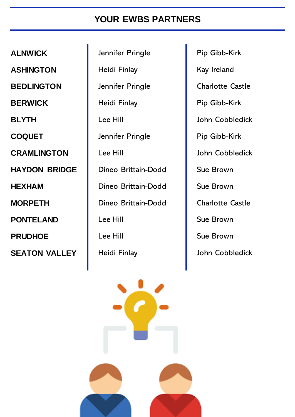# **YOUR EWBS PARTNERS**

**ALNWICK** Jennifer Pringle Pip Gibb-Kirk

**ASHINGTON** | Heidi Finlay | Kay Ireland **BEDLINGTON** Jennifer Pringle | Charlotte Castle **BERWICK** Heidi Finlay Pip Gibb-Kirk **BLYTH** Lee Hill **Lee Hill** John Cobbledick **COQUET Digital Dennifer Pringle** Pip Gibb-Kirk **CRAMLINGTON** Lee Hill **CRAMLINGTON** Lee Hill John Cobbledick **HAYDON BRIDGE** | Dineo Brittain-Dodd | Sue Brown **HEXHAM Dineo Brittain-Dodd** Sue Brown **MORPETH** Dineo Brittain-Dodd Charlotte Castle **PONTELAND** Lee Hill Sue Brown **PRUDHOE** Lee Hill Sue Brown **SEATON VALLEY** | Heidi Finlay | John Cobbledick

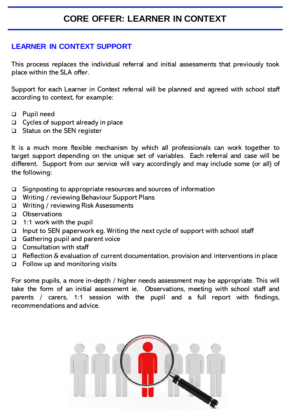### **LEARNER IN CONTEXT SUPPORT**

This process replaces the individual referral and initial assessments that previously took place within the SLA offer.

Support for each Learner in Context referral will be planned and agreed with school staff according to context, for example:

- ❑ Pupil need
- ❑ Cycles of support already in place
- ❑ Status on the SEN register

It is a much more flexible mechanism by which all professionals can work together to target support depending on the unique set of variables. Each referral and case will be different. Support from our service will vary accordingly and may include some (or all) of the following:

- ❑ Signposting to appropriate resources and sources of information
- ❑ Writing / reviewing Behaviour Support Plans
- ❑ Writing / reviewing Risk Assessments
- ❑ Observations
- ❑ 1:1 work with the pupil
- ❑ Input to SEN paperwork eg. Writing the next cycle of support with school staff
- ❑ Gathering pupil and parent voice
- ❑ Consultation with staff
- ❑ Reflection & evaluation of current documentation, provision and interventions in place
- ❑ Follow up and monitoring visits

For some pupils, a more in-depth / higher needs assessment may be appropriate. This will take the form of an initial assessment ie. Observations, meeting with school staff and parents / carers, 1:1 session with the pupil and a full report with findings, recommendations and advice.

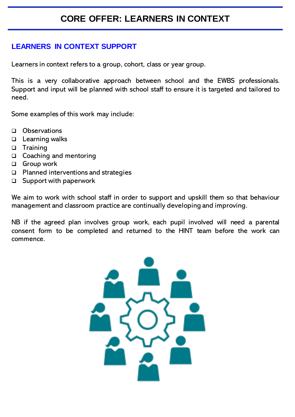# **CORE OFFER: LEARNERS IN CONTEXT**

### **LEARNERS IN CONTEXT SUPPORT**

Learners in context refers to a group, cohort, class or year group.

This is a very collaborative approach between school and the EWBS professionals. Support and input will be planned with school staff to ensure it is targeted and tailored to need.

Some examples of this work may include:

- ❑ Observations
- ❑ Learning walks
- ❑ Training
- ❑ Coaching and mentoring
- ❑ Group work
- ❑ Planned interventions and strategies
- ❑ Support with paperwork

We aim to work with school staff in order to support and upskill them so that behaviour management and classroom practice are continually developing and improving.

NB if the agreed plan involves group work, each pupil involved will need a parental consent form to be completed and returned to the HINT team before the work can commence.

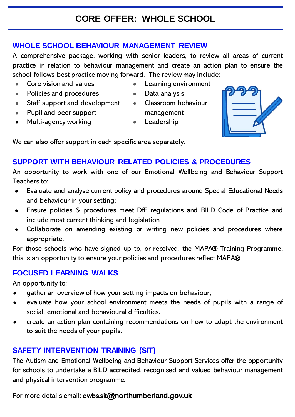# **CORE OFFER: WHOLE SCHOOL**

### **WHOLE SCHOOL BEHAVIOUR MANAGEMENT REVIEW**

A comprehensive package, working with senior leaders, to review all areas of current practice in relation to behaviour management and create an action plan to ensure the school follows best practice moving forward. The review may include:

- Core vision and values
- Policies and procedures
- Staff support and development Classroom behaviour
- Pupil and peer support
- Multi-agency working
- Learning environment
- Data analysis
- management
- Leadership



We can also offer support in each specific area separately.

# **SUPPORT WITH BEHAVIOUR RELATED POLICIES & PROCEDURES**

An opportunity to work with one of our Emotional Wellbeing and Behaviour Support Teachers to:

- Evaluate and analyse current policy and procedures around Special Educational Needs and behaviour in your setting;
- Ensure policies & procedures meet DfE regulations and BILD Code of Practice and include most current thinking and legislation
- Collaborate on amending existing or writing new policies and procedures where appropriate.

For those schools who have signed up to, or received, the MAPA® Training Programme, this is an opportunity to ensure your policies and procedures reflect MAPA®.

# **FOCUSED LEARNING WALKS**

An opportunity to:

- gather an overview of how your setting impacts on behaviour;
- evaluate how your school environment meets the needs of pupils with a range of social, emotional and behavioural difficulties.
- create an action plan containing recommendations on how to adapt the environment to suit the needs of your pupils.

# **SAFETY INTERVENTION TRAINING (SIT)**

The Autism and Emotional Wellbeing and Behaviour Support Services offer the opportunity for schools to undertake a BILD accredited, recognised and valued behaviour management and physical intervention programme.

For more details email: ewbs.sit@northumberland.gov.uk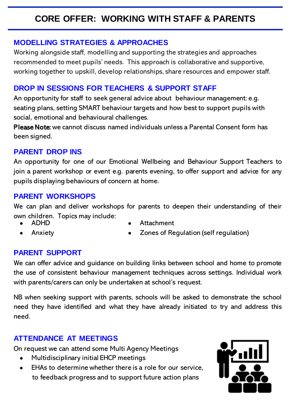# **CORE OFFER: WORKING WITH STAFF & PARENTS**

### **MODELLING STRATEGIES & APPROACHES**

Working alongside staff, modelling and supporting the strategies and approaches recommended to meet pupils' needs. This approach is collaborative and supportive, working together to upskill, develop relationships, share resources and empower staff.

# **DROP IN SESSIONS FOR TEACHERS & SUPPORT STAFF**

An opportunity for staff to seek general advice about behaviour management: e.g. seating plans, setting SMART behaviour targets and how best to support pupils with social, emotional and behavioural challenges.

Please Note: we cannot discuss named individuals unless a Parental Consent form has been signed.

### **PARENT DROP INS**

An opportunity for one of our Emotional Wellbeing and Behaviour Support Teachers to join a parent workshop or event e.g. parents evening, to offer support and advice for any pupils displaying behaviours of concern at home.

### **PARENT WORKSHOPS**

We can plan and deliver workshops for parents to deepen their understanding of their own children. Topics may include:

● ADHD

**Anxiety** 

- **Attachment** 
	- Zones of Regulation (self regulation)

# **PARENT SUPPORT**

We can offer advice and guidance on building links between school and home to promote the use of consistent behaviour management techniques across settings. Individual work with parents/carers can only be undertaken at school's request.

NB when seeking support with parents, schools will be asked to demonstrate the school need they have identified and what they have already initiated to try and address this need.

# **ATTENDANCE AT MEETINGS**

On request we can attend some Multi Agency Meetings

- Multidisciplinary initial EHCP meetings
- EHAs to determine whether there is a role for our service, to feedback progress and to support future action plans

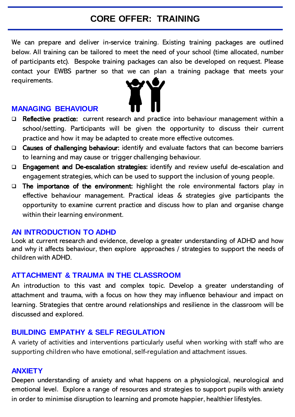# **CORE OFFER: TRAINING**

We can prepare and deliver in-service training. Existing training packages are outlined below. All training can be tailored to meet the need of your school (time allocated, number of participants etc). Bespoke training packages can also be developed on request. Please contact your EWBS partner so that we can plan a training package that meets your requirements.

#### **MANAGING BEHAVIOUR**



- ❑ Causes of challenging behaviour: identify and evaluate factors that can become barriers to learning and may cause or trigger challenging behaviour.
- ❑ Engagement and De-escalation strategies: identify and review useful de-escalation and engagement strategies, which can be used to support the inclusion of young people.
- ❑ The importance of the environment: highlight the role environmental factors play in effective behaviour management. Practical ideas & strategies give participants the opportunity to examine current practice and discuss how to plan and organise change within their learning environment.

#### **AN INTRODUCTION TO ADHD**

Look at current research and evidence, develop a greater understanding of ADHD and how and why it affects behaviour, then explore approaches / strategies to support the needs of children with ADHD.

#### **ATTACHMENT & TRAUMA IN THE CLASSROOM**

An introduction to this vast and complex topic. Develop a greater understanding of attachment and trauma, with a focus on how they may influence behaviour and impact on learning. Strategies that centre around relationships and resilience in the classroom will be discussed and explored.

#### **BUILDING EMPATHY & SELF REGULATION**

A variety of activities and interventions particularly useful when working with staff who are supporting children who have emotional, self-regulation and attachment issues.

#### **ANXIETY**

Deepen understanding of anxiety and what happens on a physiological, neurological and emotional level. Explore a range of resources and strategies to support pupils with anxiety in order to minimise disruption to learning and promote happier, healthier lifestyles.

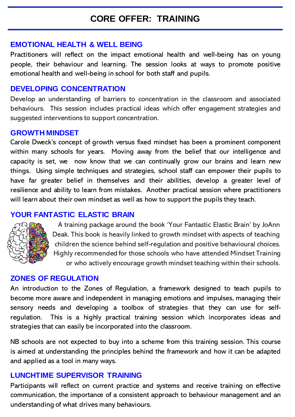# **CORE OFFER: TRAINING**

### **EMOTIONAL HEALTH & WELL BEING**

Practitioners will reflect on the impact emotional health and well-being has on young people, their behaviour and learning. The session looks at ways to promote positive emotional health and well-being in school for both staff and pupils.

### **DEVELOPING CONCENTRATION**

Develop an understanding of barriers to concentration in the classroom and associated behaviours. This session includes practical ideas which offer engagement strategies and suggested interventions to support concentration.

#### **GROWTH MINDSET**

Carole Dweck's concept of growth versus fixed mindset has been a prominent component within many schools for years. Moving away from the belief that our intelligence and capacity is set, we now know that we can continually grow our brains and learn new things. Using simple techniques and strategies, school staff can empower their pupils to have far greater belief in themselves and their abilities, develop a greater level of resilience and ability to learn from mistakes. Another practical session where practitioners will learn about their own mindset as well as how to support the pupils they teach.

### **YOUR FANTASTIC ELASTIC BRAIN**



A training package around the book 'Your Fantastic Elastic Brain' by JoAnn Deak. This book is heavily linked to growth mindset with aspects of teaching children the science behind self-regulation and positive behavioural choices. Highly recommended for those schools who have attended Mindset Training or who actively encourage growth mindset teaching within their schools.

#### **ZONES OF REGULATION**

An introduction to the Zones of Regulation, a framework designed to teach pupils to become more aware and independent in managing emotions and impulses, managing their sensory needs and developing a toolbox of strategies that they can use for selfregulation. This is a highly practical training session which incorporates ideas and strategies that can easily be incorporated into the classroom.

NB schools are not expected to buy into a scheme from this training session. This course is aimed at understanding the principles behind the framework and how it can be adapted and applied as a tool in many ways.

#### **LUNCHTIME SUPERVISOR TRAINING**

Participants will reflect on current practice and systems and receive training on effective communication, the importance of a consistent approach to behaviour management and an understanding of what drives many behaviours.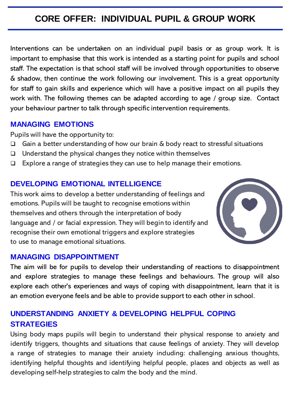# **CORE OFFER: INDIVIDUAL PUPIL & GROUP WORK**

Interventions can be undertaken on an individual pupil basis or as group work. It is important to emphasise that this work is intended as a starting point for pupils and school staff. The expectation is that school staff will be involved through opportunities to observe & shadow, then continue the work following our involvement. This is a great opportunity for staff to gain skills and experience which will have a positive impact on all pupils they work with. The following themes can be adapted according to age / group size. Contact your behaviour partner to talk through specific intervention requirements.

### **MANAGING EMOTIONS**

Pupils will have the opportunity to:

- ❑ Gain a better understanding of how our brain & body react to stressful situations
- ❑ Understand the physical changes they notice within themselves
- ❑ Explore a range of strategies they can use to help manage their emotions.

### **DEVELOPING EMOTIONAL INTELLIGENCE**

This work aims to develop a better understanding of feelings and emotions. Pupils will be taught to recognise emotions within themselves and others through the interpretation of body language and / or facial expression. They will begin to identify and recognise their own emotional triggers and explore strategies to use to manage emotional situations.



#### **MANAGING DISAPPOINTMENT**

The aim will be for pupils to develop their understanding of reactions to disappointment and explore strategies to manage these feelings and behaviours. The group will also explore each other's experiences and ways of coping with disappointment, learn that it is an emotion everyone feels and be able to provide support to each other in school.

# **UNDERSTANDING ANXIETY & DEVELOPING HELPFUL COPING STRATEGIES**

Using body maps pupils will begin to understand their physical response to anxiety and identify triggers, thoughts and situations that cause feelings of anxiety. They will develop a range of strategies to manage their anxiety including: challenging anxious thoughts, identifying helpful thoughts and identifying helpful people, places and objects as well as developing self-help strategies to calm the body and the mind.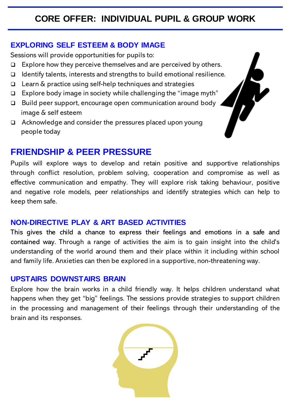# **CORE OFFER: INDIVIDUAL PUPIL & GROUP WORK**

### **EXPLORING SELF ESTEEM & BODY IMAGE**

Sessions will provide opportunities for pupils to:

- ❑ Explore how they perceive themselves and are perceived by others.
- ❑ Identify talents, interests and strengths to build emotional resilience.
- ❑ Learn & practice using self-help techniques and strategies
- ❑ Explore body image in society while challenging the "image myth"
- ❑ Build peer support, encourage open communication around body image & self esteem
- ❑ Acknowledge and consider the pressures placed upon young people today

# **FRIENDSHIP & PEER PRESSURE**

Pupils will explore ways to develop and retain positive and supportive relationships through conflict resolution, problem solving, cooperation and compromise as well as effective communication and empathy. They will explore risk taking behaviour, positive and negative role models, peer relationships and identify strategies which can help to keep them safe.

### **NON-DIRECTIVE PLAY & ART BASED ACTIVITIES**

This gives the child a chance to express their feelings and emotions in a safe and contained way. Through a range of activities the aim is to gain insight into the child's understanding of the world around them and their place within it including within school and family life. Anxieties can then be explored in a supportive, non-threateningway.

### **UPSTAIRS DOWNSTAIRS BRAIN**

Explore how the brain works in a child friendly way. It helps children understand what happens when they get "big" feelings. The sessions provide strategies to support children in the processing and management of their feelings through their understanding of the brain and its responses.

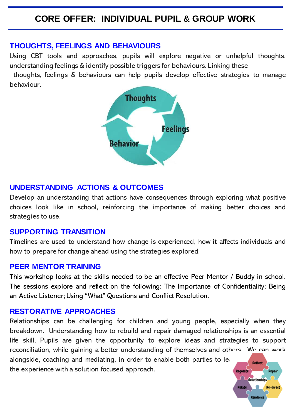# **CORE OFFER: INDIVIDUAL PUPIL & GROUP WORK**

#### **THOUGHTS, FEELINGS AND BEHAVIOURS**

Using CBT tools and approaches, pupils will explore negative or unhelpful thoughts, understanding feelings & identify possible triggers for behaviours. Linking these

thoughts, feelings & behaviours can help pupils develop effective strategies to manage behaviour.



#### **UNDERSTANDING ACTIONS & OUTCOMES**

Develop an understanding that actions have consequences through exploring what positive choices look like in school, reinforcing the importance of making better choices and strategies to use.

#### **SUPPORTING TRANSITION**

Timelines are used to understand how change is experienced, how it affects individuals and how to prepare for change ahead using the strategies explored.

#### **PEER MENTOR TRAINING**

This workshop looks at the skills needed to be an effective Peer Mentor / Buddy in school. The sessions explore and reflect on the following: The Importance of Confidentiality; Being an Active Listener; Using "What" Questions and Conflict Resolution.

#### **RESTORATIVE APPROACHES**

Relationships can be challenging for children and young people, especially when they breakdown. Understanding how to rebuild and repair damaged relationships is an essential life skill. Pupils are given the opportunity to explore ideas and strategies to support reconciliation, while gaining a better understanding of themselves and others. We can work alongside, coaching and mediating, in order to enable both parties to learn and reflect the experience with a solution focused approach.**Regulate** Repair

<u>()</u>

**Relate** 

Relationships

**Reinforce** 

**Re-direct**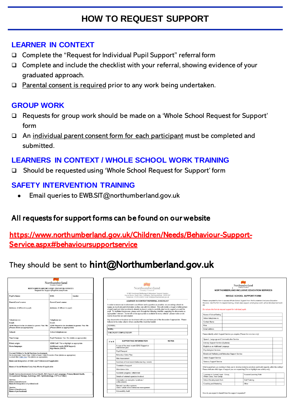# **HOW TO REQUEST SUPPORT**

### **LEARNER IN CONTEXT**

- ❑ Complete the "Request for Individual Pupil Support" referral form
- ❑ Complete and include the checklist with your referral, showing evidence of your graduated approach.
- ❑ Parental consent is required prior to any work being undertaken.

### **GROUP WORK**

- ❑ Requests for group work should be made on a 'Whole School Request for Support' form
- ❑ An individual parent consent form for each participant must be completed and submitted.

# **LEARNERS IN CONTEXT / WHOLE SCHOOL WORK TRAINING**

❑ Should be requested using 'Whole School Request for Support' form

### **SAFETY INTERVENTION TRAINING**

Email queries to EWB.SIT@northumberland.gov.uk

### All requests for support forms can be found on our website

### [https://www.northumberland.gov.uk/Children/Needs/Behaviour-Support-](https://www.northumberland.gov.uk/Children/Needs/Behaviour-Support-Service.aspx)Service.aspx#behavioursupportservice

# They should be sent to hint@Northumberland.gov.uk

| Northumberland<br><b>County Council</b><br>NORTHUMBERLAND INCLUSIVE EDUCATION SERVICES<br><b>Request for Support (Pupil Access) Form</b>                                                                                                                                                                                         |                                                                                                                      |         |  |  |
|----------------------------------------------------------------------------------------------------------------------------------------------------------------------------------------------------------------------------------------------------------------------------------------------------------------------------------|----------------------------------------------------------------------------------------------------------------------|---------|--|--|
| <b>Pupil's Name:</b>                                                                                                                                                                                                                                                                                                             | DOB:                                                                                                                 | Gender: |  |  |
| Parent/Carer's name:                                                                                                                                                                                                                                                                                                             | Parent/Carer's name:                                                                                                 |         |  |  |
| Address: (if different to pupil)                                                                                                                                                                                                                                                                                                 | Address: (if different to pupil)                                                                                     |         |  |  |
| Telephone no:<br><b>Email:</b><br>SEND Report to be circulated to parent: Yes / No<br>(Please delete as appropriate)                                                                                                                                                                                                             | Telephone no:<br><b>Email:</b><br>SEND Report to be circulated to parent: Yes / No<br>(Please delete as appropriate) |         |  |  |
| School:                                                                                                                                                                                                                                                                                                                          | School telephone no:                                                                                                 |         |  |  |
| Year Group:                                                                                                                                                                                                                                                                                                                      | Pupil Premium: Yes / No (delete as appropriate)                                                                      |         |  |  |
| Ethnic origin:<br>Home language:                                                                                                                                                                                                                                                                                                 | SEND CoP: Tick or highlight as appropriate<br><b>Additional needs (SEN Support)</b><br>High Needs (EHCP)             |         |  |  |
| Current Children's Social Services Involvement:<br>No involvement / Early Help / Child in Need / Child Protection Plan (delete as appropriate)<br>Looked After Child Yes / No (delete as appropriate)<br>Name and designation of EHA Lead Professional if applicable:<br>Name of Social Worker/ Early Help Worker if applicable: |                                                                                                                      |         |  |  |
| Health Service Involvement (School Health, NHS Speech and Language, Primary Mental Health,<br>Occupational Therapy, Audiology, ENT, Ophthalmology, CYPS or Other)<br>Service:<br>Dates of involvement:<br>Name & Designation of professional:<br>Service:<br>Dates of involvement:<br>Name of professional:                      |                                                                                                                      |         |  |  |

|               | Northumberland<br>County Council                                                                                                                                                                                                                                                                                                                                                                                                                                                                                                                                                                                                                                                                                                                                                             |              |
|---------------|----------------------------------------------------------------------------------------------------------------------------------------------------------------------------------------------------------------------------------------------------------------------------------------------------------------------------------------------------------------------------------------------------------------------------------------------------------------------------------------------------------------------------------------------------------------------------------------------------------------------------------------------------------------------------------------------------------------------------------------------------------------------------------------------|--------------|
|               | SEND Emotional Wellbeing & Behaviour Support Service<br>Aesca House, South View, Ashington, Northumberland. NE63 0SF<br>Telephone: 01670 624802 Email: hint@northumberland.gov.uk                                                                                                                                                                                                                                                                                                                                                                                                                                                                                                                                                                                                            |              |
|               | <b>LEARNER IN CONTEXT REFERRAL CHECKLIST</b>                                                                                                                                                                                                                                                                                                                                                                                                                                                                                                                                                                                                                                                                                                                                                 |              |
|               | In order to ensure our involvement is as efficient and supportive as possible, we are asking schools to<br>supply as much relevant information as they can with the referral. This will enable us to get a better picture<br>of pupil need and what provision is already in place in order to carefully plan how to support you and the<br>pupil. To facilitate this process, please work through the following checklist, supplying the documents as<br>appropriate / relevant. Some will not be appropriate or available for every referral - please make a note<br>next to those that are not included.<br>Any documents not in place can be shared with you and form part of the discussion if appropriate. Please<br>indicate in the notes column where you feel this would be helpful. |              |
| SCHOOL:       |                                                                                                                                                                                                                                                                                                                                                                                                                                                                                                                                                                                                                                                                                                                                                                                              |              |
| PUPIL:        |                                                                                                                                                                                                                                                                                                                                                                                                                                                                                                                                                                                                                                                                                                                                                                                              |              |
|               | <b>CHECKLIST COMPLETED BY:</b>                                                                                                                                                                                                                                                                                                                                                                                                                                                                                                                                                                                                                                                                                                                                                               |              |
| $\sqrt{or X}$ | <b>SUPPORTING INFORMATION</b>                                                                                                                                                                                                                                                                                                                                                                                                                                                                                                                                                                                                                                                                                                                                                                | <b>NOTES</b> |
|               | A copy of the most recent SEND Support or<br>intervention plan                                                                                                                                                                                                                                                                                                                                                                                                                                                                                                                                                                                                                                                                                                                               |              |
|               | <b>Pupil Passport</b>                                                                                                                                                                                                                                                                                                                                                                                                                                                                                                                                                                                                                                                                                                                                                                        |              |
|               | <b>Behaviour Crisis Plan</b>                                                                                                                                                                                                                                                                                                                                                                                                                                                                                                                                                                                                                                                                                                                                                                 |              |
|               | <b>Risk Assessment</b>                                                                                                                                                                                                                                                                                                                                                                                                                                                                                                                                                                                                                                                                                                                                                                       |              |
|               | Summary of most recent behaviour log / events                                                                                                                                                                                                                                                                                                                                                                                                                                                                                                                                                                                                                                                                                                                                                |              |
|               | Timetable of support                                                                                                                                                                                                                                                                                                                                                                                                                                                                                                                                                                                                                                                                                                                                                                         |              |
|               | Attendance data                                                                                                                                                                                                                                                                                                                                                                                                                                                                                                                                                                                                                                                                                                                                                                              |              |
|               | Academic progress / attainment                                                                                                                                                                                                                                                                                                                                                                                                                                                                                                                                                                                                                                                                                                                                                               |              |
|               | Details of external agencies involved                                                                                                                                                                                                                                                                                                                                                                                                                                                                                                                                                                                                                                                                                                                                                        |              |
|               | Information on strengths / positives /                                                                                                                                                                                                                                                                                                                                                                                                                                                                                                                                                                                                                                                                                                                                                       |              |
|               | achievements                                                                                                                                                                                                                                                                                                                                                                                                                                                                                                                                                                                                                                                                                                                                                                                 |              |
|               | Reward / sanction systems<br>Class / whole school behaviour management                                                                                                                                                                                                                                                                                                                                                                                                                                                                                                                                                                                                                                                                                                                       |              |

| Northumberland<br><b>County Council</b><br>NORTHUMBERLAND INCLUSIVE EDUCATION SERVICES |  |  |                                                                                                                                                                                                                  |  |  |
|----------------------------------------------------------------------------------------|--|--|------------------------------------------------------------------------------------------------------------------------------------------------------------------------------------------------------------------|--|--|
|                                                                                        |  |  |                                                                                                                                                                                                                  |  |  |
| etc.                                                                                   |  |  | Please complete this form to access Whole School Support from Northumberland Inclusive Education<br>Services. Use this form to request training, whole class support, small group work, school development work  |  |  |
| Do not use this form to request support for individual pupils                          |  |  |                                                                                                                                                                                                                  |  |  |
| Name of School/Setting                                                                 |  |  |                                                                                                                                                                                                                  |  |  |
| School telephone no                                                                    |  |  |                                                                                                                                                                                                                  |  |  |
| <b>Contact Name</b>                                                                    |  |  |                                                                                                                                                                                                                  |  |  |
| Role                                                                                   |  |  |                                                                                                                                                                                                                  |  |  |
| Email address                                                                          |  |  |                                                                                                                                                                                                                  |  |  |
| Please identify which Support Service you require (Please tick one box only)           |  |  |                                                                                                                                                                                                                  |  |  |
| Speech, Language and Communication Service                                             |  |  |                                                                                                                                                                                                                  |  |  |
|                                                                                        |  |  |                                                                                                                                                                                                                  |  |  |
| Literacy Support Service (Dyslexia)                                                    |  |  |                                                                                                                                                                                                                  |  |  |
| English as an Additional Language                                                      |  |  |                                                                                                                                                                                                                  |  |  |
| <b>Psychological Services</b>                                                          |  |  |                                                                                                                                                                                                                  |  |  |
| Emotional Wellbeing and Behaviour Support Service                                      |  |  |                                                                                                                                                                                                                  |  |  |
| <b>Autism Support Service</b>                                                          |  |  |                                                                                                                                                                                                                  |  |  |
| <b>Sensory Support Service</b>                                                         |  |  |                                                                                                                                                                                                                  |  |  |
|                                                                                        |  |  | What support are you seeking to help you to develop inclusive practices and build capacity within the setting?<br>Please indicate which type of support you are requesting (Tick or highlight one activity only) |  |  |
| 'Learners in Context' Input - Group.<br>Whole Class, Year Group                        |  |  | Focused Learning Walk                                                                                                                                                                                            |  |  |
| School Development Work                                                                |  |  | <b>Staff Training</b>                                                                                                                                                                                            |  |  |